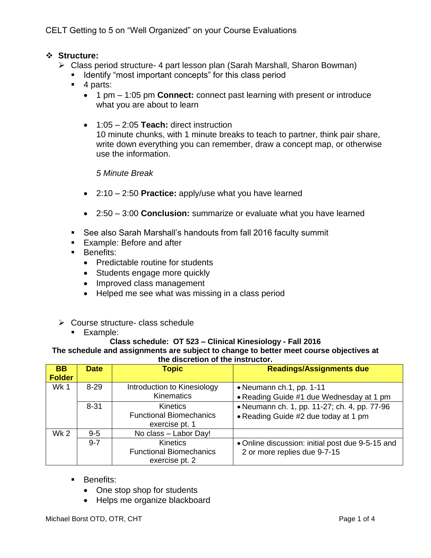CELT Getting to 5 on "Well Organized" on your Course Evaluations

## **Structure:**

- Class period structure- 4 part lesson plan (Sarah Marshall, Sharon Bowman)
	- **If Identify "most important concepts" for this class period**
	- 4 parts:
		- 1 pm 1:05 pm **Connect:** connect past learning with present or introduce what you are about to learn
		- 1:05 2:05 **Teach:** direct instruction 10 minute chunks, with 1 minute breaks to teach to partner, think pair share, write down everything you can remember, draw a concept map, or otherwise use the information.

### *5 Minute Break*

- 2:10 2:50 **Practice:** apply/use what you have learned
- 2:50 3:00 **Conclusion:** summarize or evaluate what you have learned
- See also Sarah Marshall's handouts from fall 2016 faculty summit
- Example: Before and after
- **Benefits:** 
	- Predictable routine for students
	- Students engage more quickly
	- Improved class management
	- Helped me see what was missing in a class period
- Course structure- class schedule
	- **Example:**

#### **Class schedule: OT 523 – Clinical Kinesiology - Fall 2016 The schedule and assignments are subject to change to better meet course objectives at the discretion of the instructor.**

| <b>BB</b>       | <b>Date</b> | <b>Topic</b>                   | <b>Readings/Assignments due</b>                  |
|-----------------|-------------|--------------------------------|--------------------------------------------------|
| <b>Folder</b>   |             |                                |                                                  |
| Wk 1            | $8 - 29$    | Introduction to Kinesiology    | • Neumann ch.1, pp. 1-11                         |
|                 |             | <b>Kinematics</b>              | • Reading Guide #1 due Wednesday at 1 pm         |
|                 | $8 - 31$    | <b>Kinetics</b>                | • Neumann ch. 1, pp. 11-27; ch. 4, pp. 77-96     |
|                 |             | <b>Functional Biomechanics</b> | • Reading Guide #2 due today at 1 pm             |
|                 |             | exercise pt. 1                 |                                                  |
| Wk <sub>2</sub> | $9 - 5$     | No class - Labor Day!          |                                                  |
|                 | $9 - 7$     | <b>Kinetics</b>                | • Online discussion: initial post due 9-5-15 and |
|                 |             | <b>Functional Biomechanics</b> | 2 or more replies due 9-7-15                     |
|                 |             | exercise pt. 2                 |                                                  |

- **Benefits:** 
	- One stop shop for students
	- Helps me organize blackboard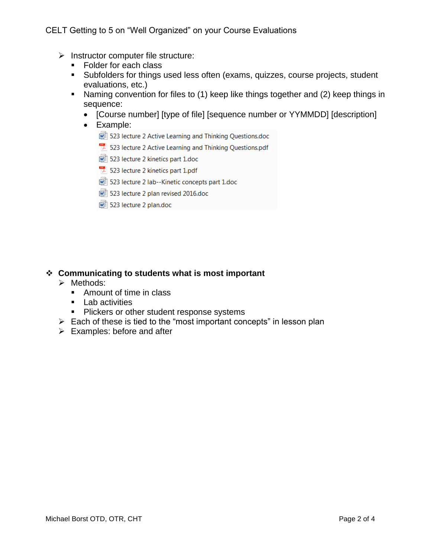- $\triangleright$  Instructor computer file structure:
	- Folder for each class
	- Subfolders for things used less often (exams, quizzes, course projects, student evaluations, etc.)
	- Naming convention for files to (1) keep like things together and (2) keep things in sequence:
		- [Course number] [type of file] [sequence number or YYMMDD] [description]
		- Example:
			- 523 lecture 2 Active Learning and Thinking Questions.doc
			- $\mathbb{R}$  523 lecture 2 Active Learning and Thinking Questions.pdf
			- 523 lecture 2 kinetics part 1.doc
			- 523 lecture 2 kinetics part 1.pdf
			- 圖 523 lecture 2 lab--Kinetic concepts part 1.doc
			- o 523 lecture 2 plan revised 2016.doc
			- o 523 lecture 2 plan.doc

# **Communicating to students what is most important**

- $\triangleright$  Methods:
	- Amount of time in class
	- **Lab activities**
	- **Plickers or other student response systems**
- $\triangleright$  Each of these is tied to the "most important concepts" in lesson plan
- $\triangleright$  Examples: before and after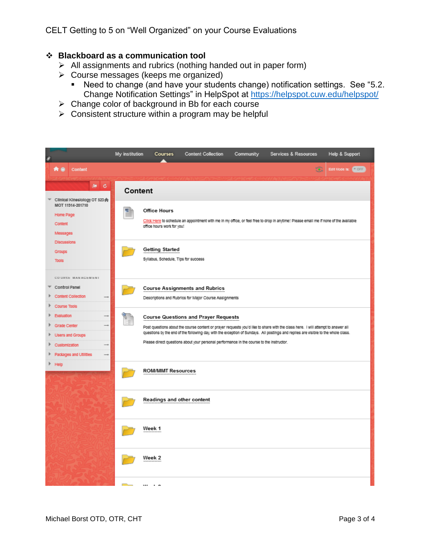CELT Getting to 5 on "Well Organized" on your Course Evaluations

## **Blackboard as a communication tool**

- $\triangleright$  All assignments and rubrics (nothing handed out in paper form)
- $\triangleright$  Course messages (keeps me organized)
	- Need to change (and have your students change) notification settings. See "5.2. Change Notification Settings" in HelpSpot at<https://helpspot.cuw.edu/helpspot/>
- $\triangleright$  Change color of background in Bb for each course
- $\triangleright$  Consistent structure within a program may be helpful